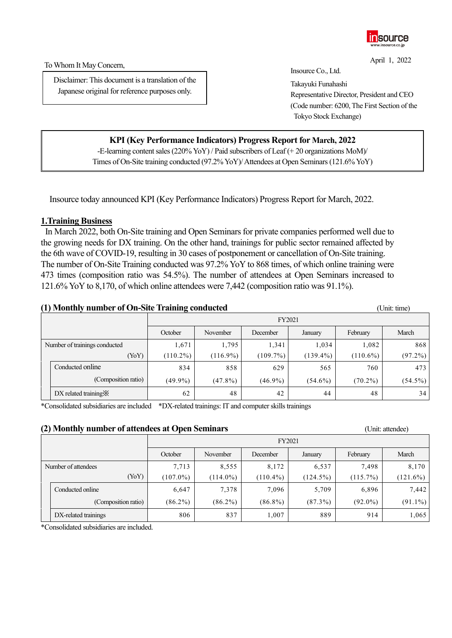

To Whom It May Concern,

Disclaimer: This document is a translation of the Japanese original for reference purposes only.

April 1, 2022 Insource Co., Ltd. Takayuki Funahashi Representative Director, President and CEO (Code number: 6200, The First Section of the

Tokyo Stock Exchange)

# **KPI (Key Performance Indicators) Progress Report for March, 2022**

-E-learning content sales (220% YoY) / Paid subscribers of Leaf (+ 20 organizations MoM)/ Times of On-Site training conducted (97.2% YoY)/ Attendees at Open Seminars (121.6% YoY)

Insource today announced KPI (Key Performance Indicators) Progress Report for March, 2022.

### **1.Training Business**

In March 2022, both On-Site training and Open Seminars for private companies performed well due to the growing needs for DX training. On the other hand, trainings for public sector remained affected by the 6th wave of COVID-19, resulting in 30 cases of postponement or cancellation of On-Site training. The number of On-Site Training conducted was 97.2% YoY to 868 times, of which online training were 473 times (composition ratio was 54.5%). The number of attendees at Open Seminars increased to 121.6% YoY to 8,170, of which online attendees were 7,442 (composition ratio was 91.1%).

#### **(1) Monthly number of On-Site Training conducted** (Unit: time) (Unit: time)

|                               |                                   |             | FY2021      |            |             |             |            |  |
|-------------------------------|-----------------------------------|-------------|-------------|------------|-------------|-------------|------------|--|
|                               |                                   | October     | February    | March      |             |             |            |  |
| Number of trainings conducted |                                   | 1,671       | 1,795       | 1,341      | 1,034       | 1,082       | 868        |  |
|                               | (YoY)                             | $(110.2\%)$ | $(116.9\%)$ | (109.7%)   | $(139.4\%)$ | $(110.6\%)$ | $(97.2\%)$ |  |
|                               | Conducted online                  | 834         | 858         | 629        | 565         | 760         | 473        |  |
|                               | (Composition ratio)               | $(49.9\%)$  | $(47.8\%)$  | $(46.9\%)$ | $(54.6\%)$  | $(70.2\%)$  | $(54.5\%)$ |  |
|                               | $DX$ related training $\mathbb X$ | 62          | 48          | 42         | 44          | 48          | 34         |  |

\*Consolidated subsidiaries are included \*DX-related trainings: IT and computer skills trainings

#### **(2) Monthly number of attendees at Open Seminars** (Unit: attendee)

|                     |                      |             | FY2021      |             |             |            |             |
|---------------------|----------------------|-------------|-------------|-------------|-------------|------------|-------------|
|                     |                      | October     | February    | March       |             |            |             |
| Number of attendees |                      | 7,713       | 8,555       | 8,172       | 6,537       | 7,498      | 8,170       |
|                     | (YoY)                | $(107.0\%)$ | $(114.0\%)$ | $(110.4\%)$ | $(124.5\%)$ | (115.7%)   | $(121.6\%)$ |
|                     | Conducted online     | 6,647       | 7,378       | 7,096       | 5,709       | 6,896      | 7,442       |
|                     | (Composition ratio)  | $(86.2\%)$  | $(86.2\%)$  | $(86.8\%)$  | $(87.3\%)$  | $(92.0\%)$ | $(91.1\%)$  |
|                     | DX-related trainings | 806         | 837         | 1,007       | 889         | 914        | 1,065       |

\*Consolidated subsidiaries are included.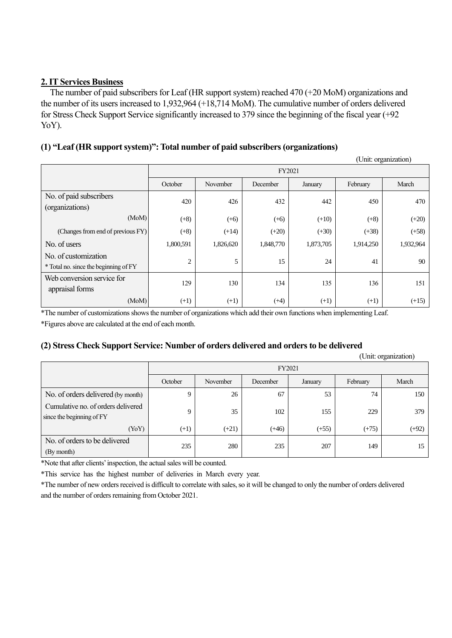# **2. IT Services Business**

The number of paid subscribers for Leaf (HR support system) reached 470 (+20 MoM) organizations and the number of its users increased to 1,932,964 (+18,714 MoM). The cumulative number of orders delivered for Stress Check Support Service significantly increased to 379 since the beginning of the fiscal year (+92 YoY).

# **(1) "Leaf (HR support system)": Total number of paid subscribers (organizations)**

(Unit: organization) FY2021 October November December January February March No. of paid subscribers (organizations) 420 426 432 442 450 470  $(MoM)$  (+8) (+6) (+6) (+6) (+10) (+8) (+20) (Changes from end of previous FY) (+8) (+8) (+14) (+20) (+20) (+30) (+38) (+58) No. of users 1,800,591 1,800,591 1,826,620 1,848,770 1,873,705 1,914,250 1,932,964 No. of customization \* Total no. since the beginning of FY 2 | 5 | 15 | 24 | 41 | 90 Web conversion service for appraisal forms 129 130 134 135 136 151  $(MoM)$  (+1) (+1) (+4) (+1) (+1) (+15)

\*The number of customizations shows the number of organizations which add their own functions when implementing Leaf. \*Figures above are calculated at the end of each month.

## **(2) Stress Check Support Service: Number of orders delivered and orders to be delivered**

|                                                                 |         |          |          |         |          | (Unit: organization) |  |
|-----------------------------------------------------------------|---------|----------|----------|---------|----------|----------------------|--|
|                                                                 |         | FY2021   |          |         |          |                      |  |
|                                                                 | October | November | December | January | February | March                |  |
| No. of orders delivered (by month)                              | 9       | 26       | 67       | 53      | 74       | 150                  |  |
| Cumulative no. of orders delivered<br>since the beginning of FY | 9       | 35       | 102      | 155     | 229      | 379                  |  |
| (YoY)                                                           | $(+1)$  | $(+21)$  | $(+46)$  | $(+55)$ | $(+75)$  | $(+92)$              |  |
| No. of orders to be delivered<br>(By month)                     | 235     | 280      | 235      | 207     | 149      | 15                   |  |

\*Note that after clients' inspection, the actual sales will be counted.

\*This service has the highest number of deliveries in March every year.

\*The number of new orders received is difficult to correlate with sales, so it will be changed to only the number of orders delivered and the number of orders remaining from October 2021.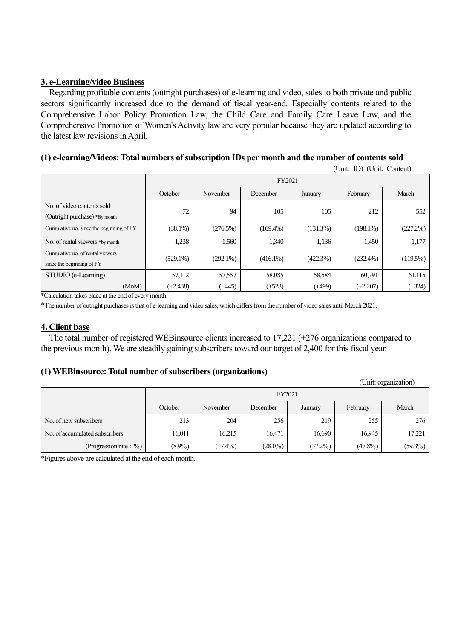# **3. e-Learning/video Business**

Regarding profitable contents (outright purchases) of e-learning and video, sales to both private and public sectors significantly increased due to the demand of fiscal year-end. Especially contents related to the Comprehensive Labor Policy Promotion Law, the Child Care and Family Care Leave Law, and the Comprehensive Promotion of Women's Activity law are very popular because they are updated according to the latest law revisions in April.

# **(1) e-learning/Videos: Total numbers of subscription IDs per month and the number of contents sold**

(Unit: ID) (Unit: Content)

|                                                               |             | FY2021      |             |          |             |          |  |
|---------------------------------------------------------------|-------------|-------------|-------------|----------|-------------|----------|--|
|                                                               | October     | November    | December    | January  | February    | March    |  |
| No. of video contents sold<br>(Outright purchase) *By month   | 72          | 94          | 105         | 105      | 212         | 552      |  |
| Cumulative no. since the beginning of FY                      | $(38.1\%)$  | (276.5%)    | $(169.4\%)$ | (131.3%) | $(198.1\%)$ | (227.2%) |  |
| No. of rental viewers *by month                               | 1,238       | 1,560       | 1,340       | 1,136    | 1,450       | 1,177    |  |
| Cumulative no. of rental viewers<br>since the beginning of FY | $(529.1\%)$ | $(292.1\%)$ | $(416.1\%)$ | (422.3%) | $(232.4\%)$ | (119.5%) |  |
| STUDIO (e-Learning)                                           | 57,112      | 57,557      | 58,085      | 58,584   | 60,791      | 61,115   |  |
| (MoM)<br>$*C_111111111101$                                    | $(+2, 438)$ | $(+445)$    | $(+528)$    | $(+499)$ | $(+2,207)$  | $(+324)$ |  |

\*Calculation takes place at the end of every month.

\*The number of outright purchases is that of e-learning and video sales, which differs from the number of video sales until March 2021.

### **4. Client base**

The total number of registered WEBinsource clients increased to 17,221 (+276 organizations compared to the previous month). We are steadily gaining subscribers toward our target of 2,400 for this fiscal year.

## **(1) WEBinsource: Total number of subscribers (organizations)**

|                                |           |            |            |         |            | (Unit: organization) |  |
|--------------------------------|-----------|------------|------------|---------|------------|----------------------|--|
|                                |           | FY2021     |            |         |            |                      |  |
|                                | October   | November   | December   | January | February   | March                |  |
| No. of new subscribers         | 213       | 204        | 256        | 219     | 255        | 276                  |  |
| No. of accumulated subscribers | 16,011    | 16,215     | 16,471     | 16,690  | 16,945     | 17,221               |  |
| (Progression rate: $\%$ )      | $(8.9\%)$ | $(17.4\%)$ | $(28.0\%)$ | (37.2%) | $(47.8\%)$ | $(59.3\%)$           |  |

\*Figures above are calculated at the end of each month.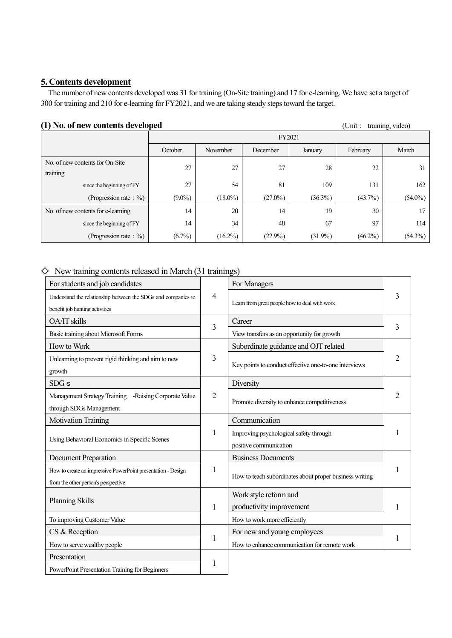### **5. Contents development**

The number of new contents developed was 31 for training (On-Site training) and 17 for e-learning. We have set a target of 300 for training and 210 for e-learning for FY2021, and we are taking steady steps toward the target.

### **(1) No. of new contents developed** (Unit: training, video)

FY2021 October November December January February March No. of new contents for On-Site training 27 27 28 22 31 since the beginning of FY  $27$  54 81 109 131 162 (Progression rate: %) (9.0%) (18.0%) (27.0%) (36.3%) (43.7%) (54.0%) No. of new contents for e-learning 14 20 14 19 30 17 since the beginning of FY 14 34 48 67 97 114 (Progression rate: %)  $(6.7\%)$   $(16.2\%)$   $(22.9\%)$   $(31.9\%)$   $(46.2\%)$   $(54.3\%)$ 

### $\diamond$  New training contents released in March (31 trainings)

| For students and job candidates                                                                     |                | For Managers                                                     |   |
|-----------------------------------------------------------------------------------------------------|----------------|------------------------------------------------------------------|---|
| Understand the relationship between the SDGs and companies to<br>benefit job hunting activities     | 4              | Learn from great people how to deal with work                    | 3 |
| <b>OA/IT</b> skills                                                                                 |                | Career                                                           |   |
| Basic training about Microsoft Forms                                                                | 3              | View transfers as an opportunity for growth                      | 3 |
| How to Work                                                                                         |                | Subordinate guidance and OJT related                             |   |
| Unlearning to prevent rigid thinking and aim to new<br>growth                                       | 3              | Key points to conduct effective one-to-one interviews            | 2 |
| SDGs                                                                                                |                | Diversity                                                        |   |
| Management Strategy Training -Raising Corporate Value<br>through SDGs Management                    | $\overline{2}$ | Promote diversity to enhance competitiveness                     | 2 |
| <b>Motivation Training</b>                                                                          |                | Communication                                                    |   |
| Using Behavioral Economics in Specific Scenes                                                       | 1              | Improving psychological safety through<br>positive communication |   |
| <b>Document Preparation</b>                                                                         |                | <b>Business Documents</b>                                        |   |
| How to create an impressive PowerPoint presentation - Design<br>from the other person's perspective | 1              | How to teach subordinates about proper business writing          |   |
| <b>Planning Skills</b>                                                                              | $\mathbf{1}$   | Work style reform and<br>productivity improvement                |   |
| To improving Customer Value                                                                         |                | How to work more efficiently                                     |   |
| CS & Reception                                                                                      |                | For new and young employees                                      |   |
| How to serve wealthy people                                                                         | $\mathbf{1}$   | How to enhance communication for remote work                     |   |
| Presentation                                                                                        |                |                                                                  |   |
| PowerPoint Presentation Training for Beginners                                                      | 1              |                                                                  |   |